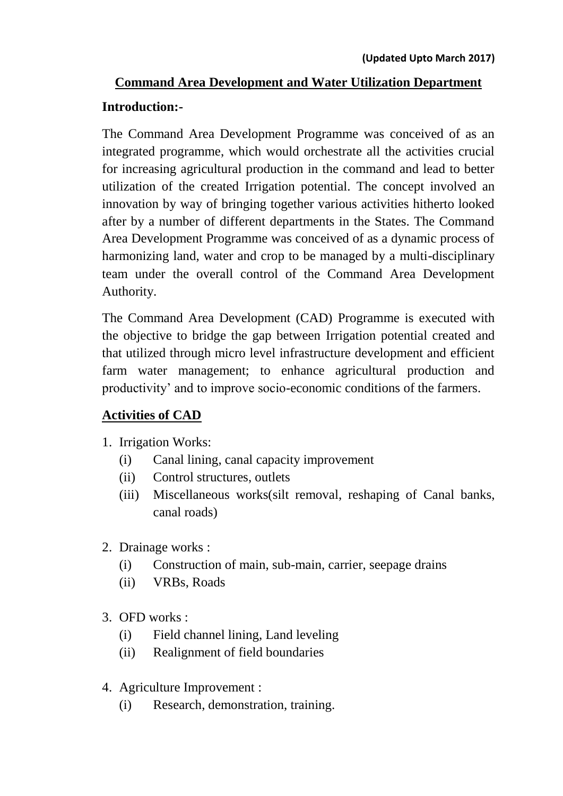# **Command Area Development and Water Utilization Department**

#### **Introduction:-**

The Command Area Development Programme was conceived of as an integrated programme, which would orchestrate all the activities crucial for increasing agricultural production in the command and lead to better utilization of the created Irrigation potential. The concept involved an innovation by way of bringing together various activities hitherto looked after by a number of different departments in the States. The Command Area Development Programme was conceived of as a dynamic process of harmonizing land, water and crop to be managed by a multi-disciplinary team under the overall control of the Command Area Development Authority.

The Command Area Development (CAD) Programme is executed with the objective to bridge the gap between Irrigation potential created and that utilized through micro level infrastructure development and efficient farm water management; to enhance agricultural production and productivity' and to improve socio-economic conditions of the farmers.

#### **Activities of CAD**

- 1. Irrigation Works:
	- (i) Canal lining, canal capacity improvement
	- (ii) Control structures, outlets
	- (iii) Miscellaneous works(silt removal, reshaping of Canal banks, canal roads)
- 2. Drainage works :
	- (i) Construction of main, sub-main, carrier, seepage drains
	- (ii) VRBs, Roads
- 3. OFD works :
	- (i) Field channel lining, Land leveling
	- (ii) Realignment of field boundaries
- 4. Agriculture Improvement :
	- (i) Research, demonstration, training.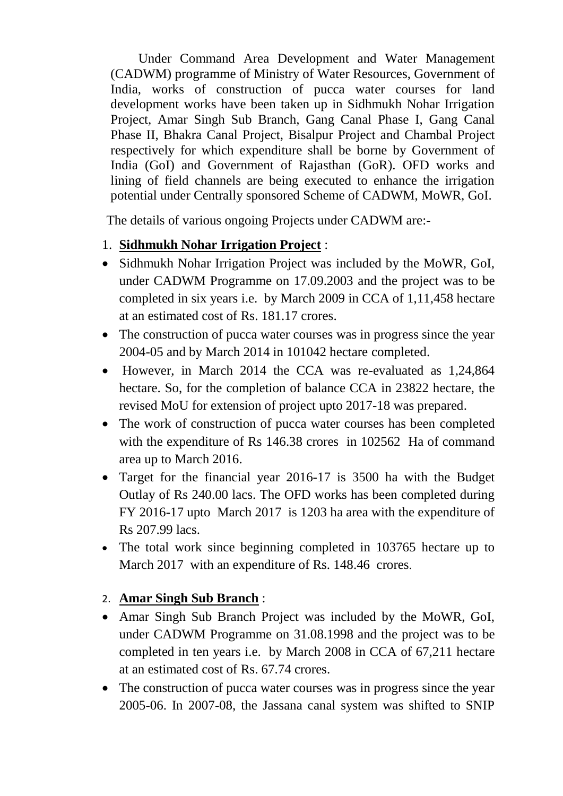Under Command Area Development and Water Management (CADWM) programme of Ministry of Water Resources, Government of India, works of construction of pucca water courses for land development works have been taken up in Sidhmukh Nohar Irrigation Project, Amar Singh Sub Branch, Gang Canal Phase I, Gang Canal Phase II, Bhakra Canal Project, Bisalpur Project and Chambal Project respectively for which expenditure shall be borne by Government of India (GoI) and Government of Rajasthan (GoR). OFD works and lining of field channels are being executed to enhance the irrigation potential under Centrally sponsored Scheme of CADWM, MoWR, GoI.

The details of various ongoing Projects under CADWM are:-

#### 1. **Sidhmukh Nohar Irrigation Project** :

- Sidhmukh Nohar Irrigation Project was included by the MoWR, GoI, under CADWM Programme on 17.09.2003 and the project was to be completed in six years i.e. by March 2009 in CCA of 1,11,458 hectare at an estimated cost of Rs. 181.17 crores.
- The construction of pucca water courses was in progress since the year 2004-05 and by March 2014 in 101042 hectare completed.
- However, in March 2014 the CCA was re-evaluated as 1,24,864 hectare. So, for the completion of balance CCA in 23822 hectare, the revised MoU for extension of project upto 2017-18 was prepared.
- The work of construction of pucca water courses has been completed with the expenditure of Rs 146.38 crores in 102562 Ha of command area up to March 2016.
- Target for the financial year 2016-17 is 3500 ha with the Budget Outlay of Rs 240.00 lacs. The OFD works has been completed during FY 2016-17 upto March 2017 is 1203 ha area with the expenditure of Rs 207.99 lacs.
- The total work since beginning completed in 103765 hectare up to March 2017 with an expenditure of Rs. 148.46 crores.

## 2. **Amar Singh Sub Branch** :

- Amar Singh Sub Branch Project was included by the MoWR, GoI, under CADWM Programme on 31.08.1998 and the project was to be completed in ten years i.e. by March 2008 in CCA of 67,211 hectare at an estimated cost of Rs. 67.74 crores.
- The construction of pucca water courses was in progress since the year 2005-06. In 2007-08, the Jassana canal system was shifted to SNIP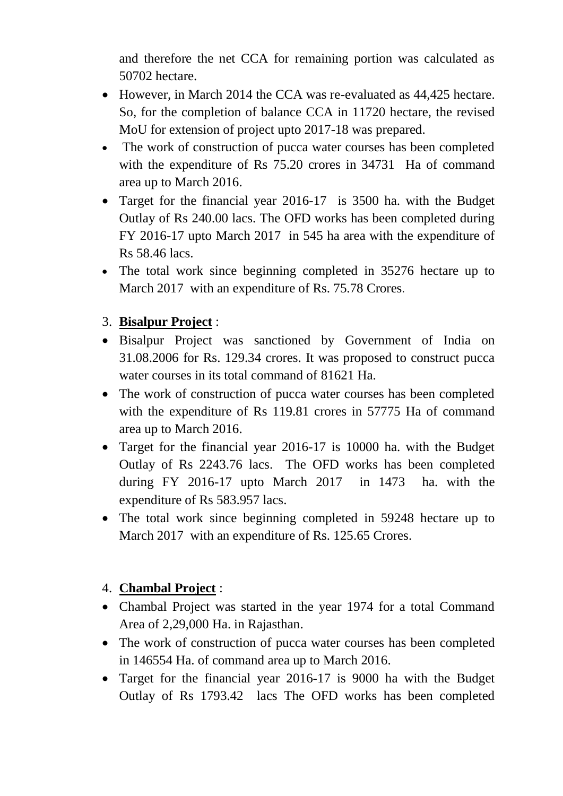and therefore the net CCA for remaining portion was calculated as 50702 hectare.

- However, in March 2014 the CCA was re-evaluated as 44,425 hectare. So, for the completion of balance CCA in 11720 hectare, the revised MoU for extension of project upto 2017-18 was prepared.
- The work of construction of pucca water courses has been completed with the expenditure of Rs 75.20 crores in 34731 Ha of command area up to March 2016.
- Target for the financial year 2016-17 is 3500 ha. with the Budget Outlay of Rs 240.00 lacs. The OFD works has been completed during FY 2016-17 upto March 2017 in 545 ha area with the expenditure of Rs 58.46 lacs.
- The total work since beginning completed in 35276 hectare up to March 2017 with an expenditure of Rs. 75.78 Crores.

## 3. **Bisalpur Project** :

- Bisalpur Project was sanctioned by Government of India on 31.08.2006 for Rs. 129.34 crores. It was proposed to construct pucca water courses in its total command of 81621 Ha.
- The work of construction of pucca water courses has been completed with the expenditure of Rs 119.81 crores in 57775 Ha of command area up to March 2016.
- Target for the financial year 2016-17 is 10000 ha. with the Budget Outlay of Rs 2243.76 lacs. The OFD works has been completed during FY 2016-17 upto March 2017 in 1473 ha. with the expenditure of Rs 583.957 lacs.
- The total work since beginning completed in 59248 hectare up to March 2017 with an expenditure of Rs. 125.65 Crores.

## 4. **Chambal Project** :

- Chambal Project was started in the year 1974 for a total Command Area of 2,29,000 Ha. in Rajasthan.
- The work of construction of pucca water courses has been completed in 146554 Ha. of command area up to March 2016.
- Target for the financial year 2016-17 is 9000 ha with the Budget Outlay of Rs 1793.42 lacs The OFD works has been completed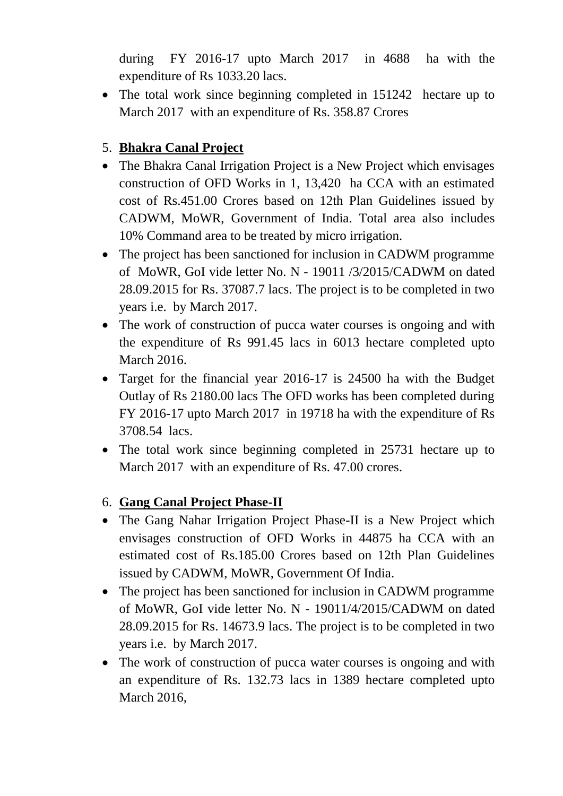during FY 2016-17 upto March 2017 in 4688 ha with the expenditure of Rs 1033.20 lacs.

• The total work since beginning completed in 151242 hectare up to March 2017 with an expenditure of Rs. 358.87 Crores

## 5. **Bhakra Canal Project**

- The Bhakra Canal Irrigation Project is a New Project which envisages construction of OFD Works in 1, 13,420 ha CCA with an estimated cost of Rs.451.00 Crores based on 12th Plan Guidelines issued by CADWM, MoWR, Government of India. Total area also includes 10% Command area to be treated by micro irrigation.
- The project has been sanctioned for inclusion in CADWM programme of MoWR, GoI vide letter No. N - 19011 /3/2015/CADWM on dated 28.09.2015 for Rs. 37087.7 lacs. The project is to be completed in two years i.e. by March 2017.
- The work of construction of pucca water courses is ongoing and with the expenditure of Rs 991.45 lacs in 6013 hectare completed upto March 2016.
- Target for the financial year 2016-17 is 24500 ha with the Budget Outlay of Rs 2180.00 lacs The OFD works has been completed during FY 2016-17 upto March 2017 in 19718 ha with the expenditure of Rs 3708.54 lacs.
- The total work since beginning completed in 25731 hectare up to March 2017 with an expenditure of Rs. 47.00 crores.

## 6. **Gang Canal Project Phase-II**

- The Gang Nahar Irrigation Project Phase-II is a New Project which envisages construction of OFD Works in 44875 ha CCA with an estimated cost of Rs.185.00 Crores based on 12th Plan Guidelines issued by CADWM, MoWR, Government Of India.
- The project has been sanctioned for inclusion in CADWM programme of MoWR, GoI vide letter No. N - 19011/4/2015/CADWM on dated 28.09.2015 for Rs. 14673.9 lacs. The project is to be completed in two years i.e. by March 2017.
- The work of construction of pucca water courses is ongoing and with an expenditure of Rs. 132.73 lacs in 1389 hectare completed upto March 2016,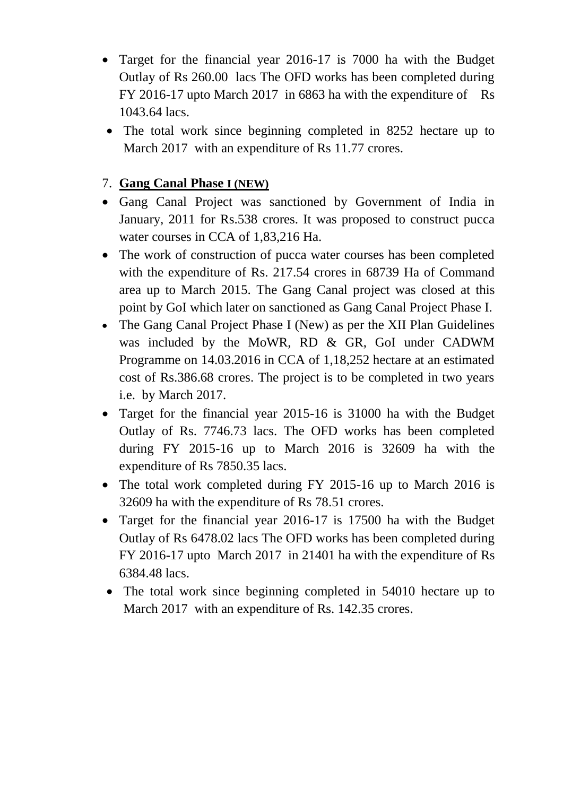- Target for the financial year 2016-17 is 7000 ha with the Budget Outlay of Rs 260.00 lacs The OFD works has been completed during FY 2016-17 upto March 2017 in 6863 ha with the expenditure of Rs 1043.64 lacs.
- The total work since beginning completed in 8252 hectare up to March 2017 with an expenditure of Rs 11.77 crores.

#### 7. **Gang Canal Phase I (NEW)**

- Gang Canal Project was sanctioned by Government of India in January, 2011 for Rs.538 crores. It was proposed to construct pucca water courses in CCA of 1,83,216 Ha.
- The work of construction of pucca water courses has been completed with the expenditure of Rs. 217.54 crores in 68739 Ha of Command area up to March 2015. The Gang Canal project was closed at this point by GoI which later on sanctioned as Gang Canal Project Phase I.
- The Gang Canal Project Phase I (New) as per the XII Plan Guidelines was included by the MoWR, RD & GR, GoI under CADWM Programme on 14.03.2016 in CCA of 1,18,252 hectare at an estimated cost of Rs.386.68 crores. The project is to be completed in two years i.e. by March 2017.
- Target for the financial year 2015-16 is 31000 ha with the Budget Outlay of Rs. 7746.73 lacs. The OFD works has been completed during FY 2015-16 up to March 2016 is 32609 ha with the expenditure of Rs 7850.35 lacs.
- The total work completed during FY 2015-16 up to March 2016 is 32609 ha with the expenditure of Rs 78.51 crores.
- Target for the financial year 2016-17 is 17500 ha with the Budget Outlay of Rs 6478.02 lacs The OFD works has been completed during FY 2016-17 upto March 2017 in 21401 ha with the expenditure of Rs 6384.48 lacs.
- The total work since beginning completed in 54010 hectare up to March 2017 with an expenditure of Rs. 142.35 crores.